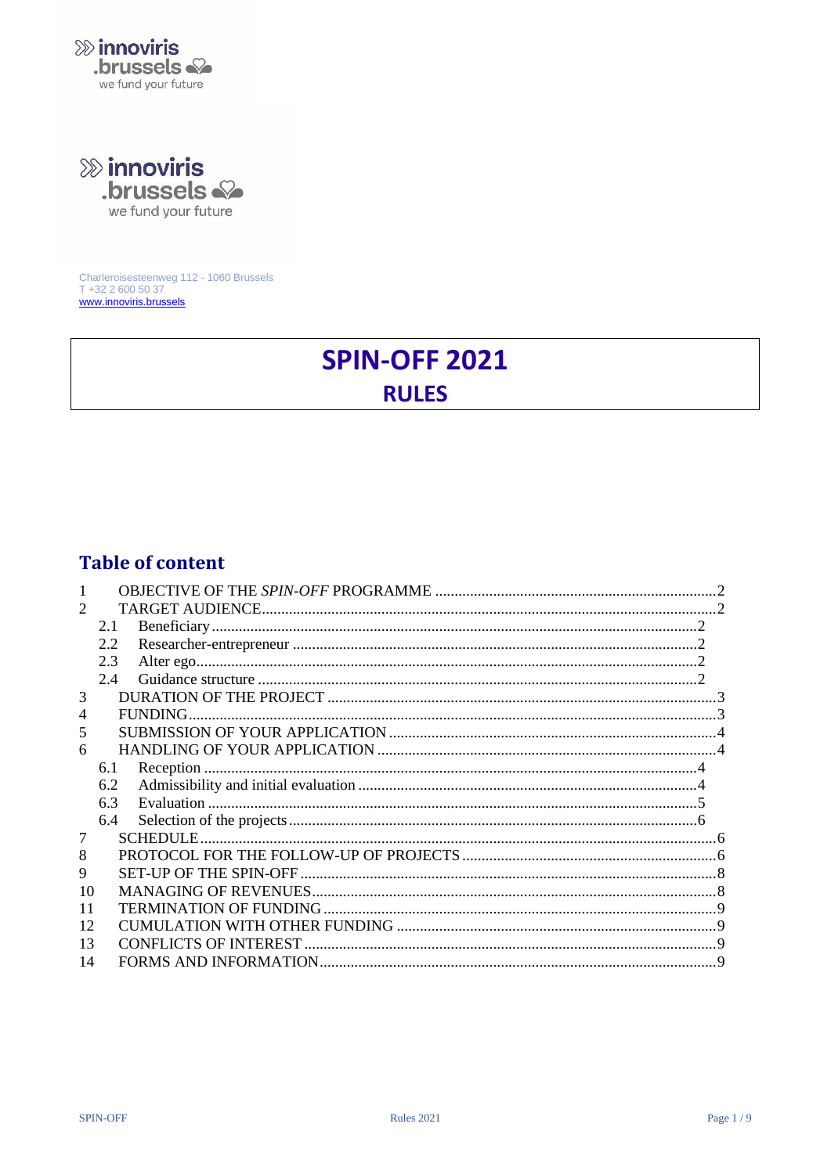

**&>** innoviris

brussels & we fund your future

Charleroisesteenweg 112 - 1060 Brussels T +32 2 600 50 37<br>www.innoviris.brussels

# **SPIN-OFF 2021 RULES**

# **Table of content**

| 2.1<br>2.2<br>2.3     |  |
|-----------------------|--|
|                       |  |
|                       |  |
|                       |  |
|                       |  |
| 2.4                   |  |
| 3                     |  |
| 4                     |  |
| 5                     |  |
| 6                     |  |
| 6.1<br>Reception      |  |
| 6.2                   |  |
| 6.3                   |  |
| 6.4                   |  |
| <b>SCHEDULE.</b><br>7 |  |
| 8                     |  |
| 9                     |  |
| 10                    |  |
| 11                    |  |
| 12                    |  |
| 13                    |  |
| 14                    |  |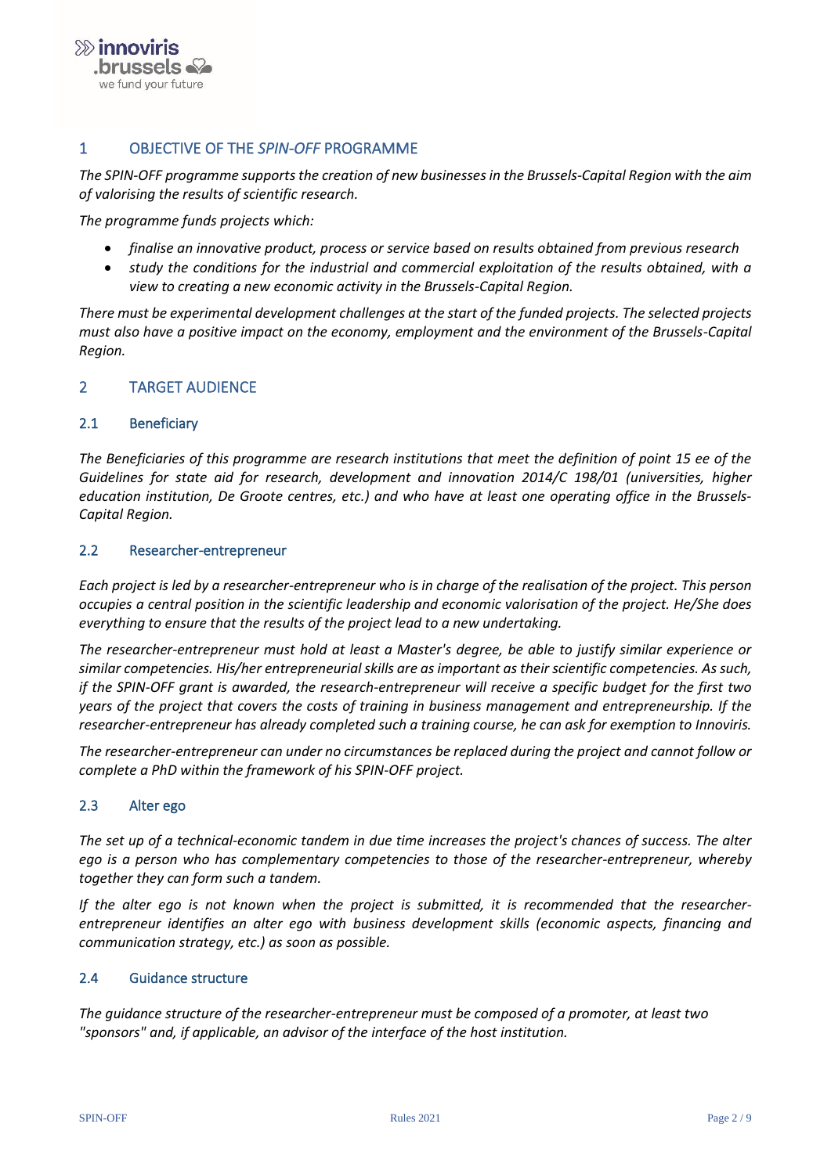

# <span id="page-1-0"></span>1 OBJECTIVE OF THE *SPIN-OFF* PROGRAMME

*The SPIN-OFF programme supports the creation of new businesses in the Brussels-Capital Region with the aim of valorising the results of scientific research.*

*The programme funds projects which:*

- *finalise an innovative product, process or service based on results obtained from previous research*
- *study the conditions for the industrial and commercial exploitation of the results obtained, with a view to creating a new economic activity in the Brussels-Capital Region.*

*There must be experimental development challenges at the start of the funded projects. The selected projects must also have a positive impact on the economy, employment and the environment of the Brussels-Capital Region.* 

#### <span id="page-1-2"></span><span id="page-1-1"></span>2 TARGET AUDIENCE

#### 2.1 Beneficiary

*The Beneficiaries of this programme are research institutions that meet the definition of point 15 ee of the Guidelines for state aid for research, development and innovation 2014/C 198/01 (universities, higher education institution, De Groote centres, etc.) and who have at least one operating office in the Brussels-Capital Region.* 

#### <span id="page-1-3"></span>2.2 Researcher-entrepreneur

*Each project is led by a researcher-entrepreneur who is in charge of the realisation of the project. This person occupies a central position in the scientific leadership and economic valorisation of the project. He/She does everything to ensure that the results of the project lead to a new undertaking.*

*The researcher-entrepreneur must hold at least a Master's degree, be able to justify similar experience or similar competencies. His/her entrepreneurial skills are as important as their scientific competencies. As such, if the SPIN-OFF grant is awarded, the research-entrepreneur will receive a specific budget for the first two years of the project that covers the costs of training in business management and entrepreneurship. If the researcher-entrepreneur has already completed such a training course, he can ask for exemption to Innoviris.*

*The researcher-entrepreneur can under no circumstances be replaced during the project and cannot follow or complete a PhD within the framework of his SPIN-OFF project.*

#### <span id="page-1-4"></span>2.3 Alter ego

*The set up of a technical-economic tandem in due time increases the project's chances of success. The alter ego is a person who has complementary competencies to those of the researcher-entrepreneur, whereby together they can form such a tandem.*

*If the alter ego is not known when the project is submitted, it is recommended that the researcherentrepreneur identifies an alter ego with business development skills (economic aspects, financing and communication strategy, etc.) as soon as possible.* 

#### <span id="page-1-5"></span>2.4 Guidance structure

*The guidance structure of the researcher-entrepreneur must be composed of a promoter, at least two "sponsors" and, if applicable, an advisor of the interface of the host institution.*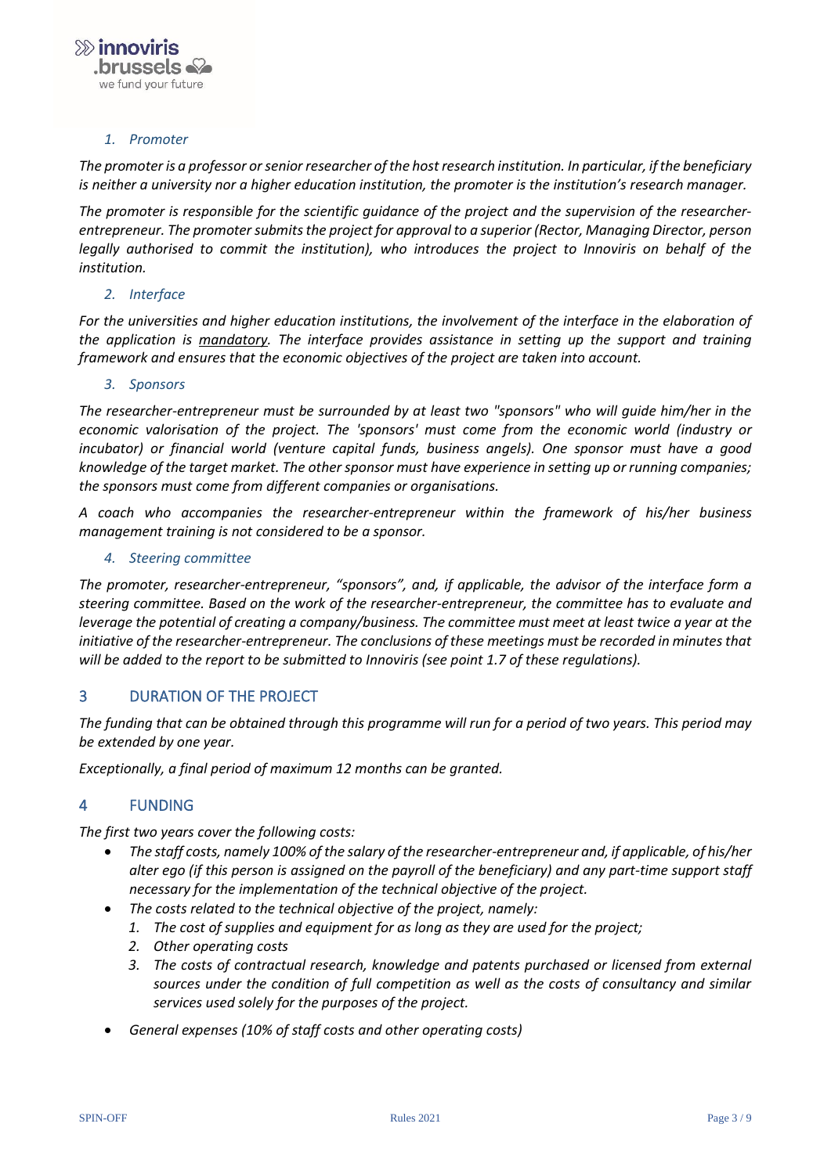#### *1. Promoter*

The promoter is a professor or senior researcher of the host research institution. In particular, if the beneficiary *is neither a university nor a higher education institution, the promoter is the institution's research manager.* 

*The promoter is responsible for the scientific guidance of the project and the supervision of the researcherentrepreneur. The promoter submitsthe project for approval to a superior (Rector, Managing Director, person legally authorised to commit the institution), who introduces the project to Innoviris on behalf of the institution.*

#### *2. Interface*

*For the universities and higher education institutions, the involvement of the interface in the elaboration of the application is mandatory. The interface provides assistance in setting up the support and training framework and ensures that the economic objectives of the project are taken into account.*

#### *3. Sponsors*

*The researcher-entrepreneur must be surrounded by at least two "sponsors" who will guide him/her in the economic valorisation of the project. The 'sponsors' must come from the economic world (industry or incubator) or financial world (venture capital funds, business angels). One sponsor must have a good knowledge of the target market. The other sponsor must have experience in setting up or running companies; the sponsors must come from different companies or organisations.* 

*A coach who accompanies the researcher-entrepreneur within the framework of his/her business management training is not considered to be a sponsor.*

#### *4. Steering committee*

*The promoter, researcher-entrepreneur, "sponsors", and, if applicable, the advisor of the interface form a steering committee. Based on the work of the researcher-entrepreneur, the committee has to evaluate and leverage the potential of creating a company/business. The committee must meet at least twice a year at the initiative of the researcher-entrepreneur. The conclusions of these meetings must be recorded in minutes that will be added to the report to be submitted to Innoviris (see point 1.7 of these regulations).*

#### <span id="page-2-0"></span>3 DURATION OF THE PROJECT

*The funding that can be obtained through this programme will run for a period of two years. This period may be extended by one year.*

<span id="page-2-1"></span>*Exceptionally, a final period of maximum 12 months can be granted.*

#### 4 FUNDING

*The first two years cover the following costs:* 

- *The staff costs, namely 100% of the salary of the researcher-entrepreneur and, if applicable, of his/her alter ego (if this person is assigned on the payroll of the beneficiary) and any part-time support staff necessary for the implementation of the technical objective of the project.*
- *The costs related to the technical objective of the project, namely:* 
	- *1. The cost of supplies and equipment for as long as they are used for the project;*
	- *2. Other operating costs*
	- *3. The costs of contractual research, knowledge and patents purchased or licensed from external sources under the condition of full competition as well as the costs of consultancy and similar services used solely for the purposes of the project.*
- *General expenses (10% of staff costs and other operating costs)*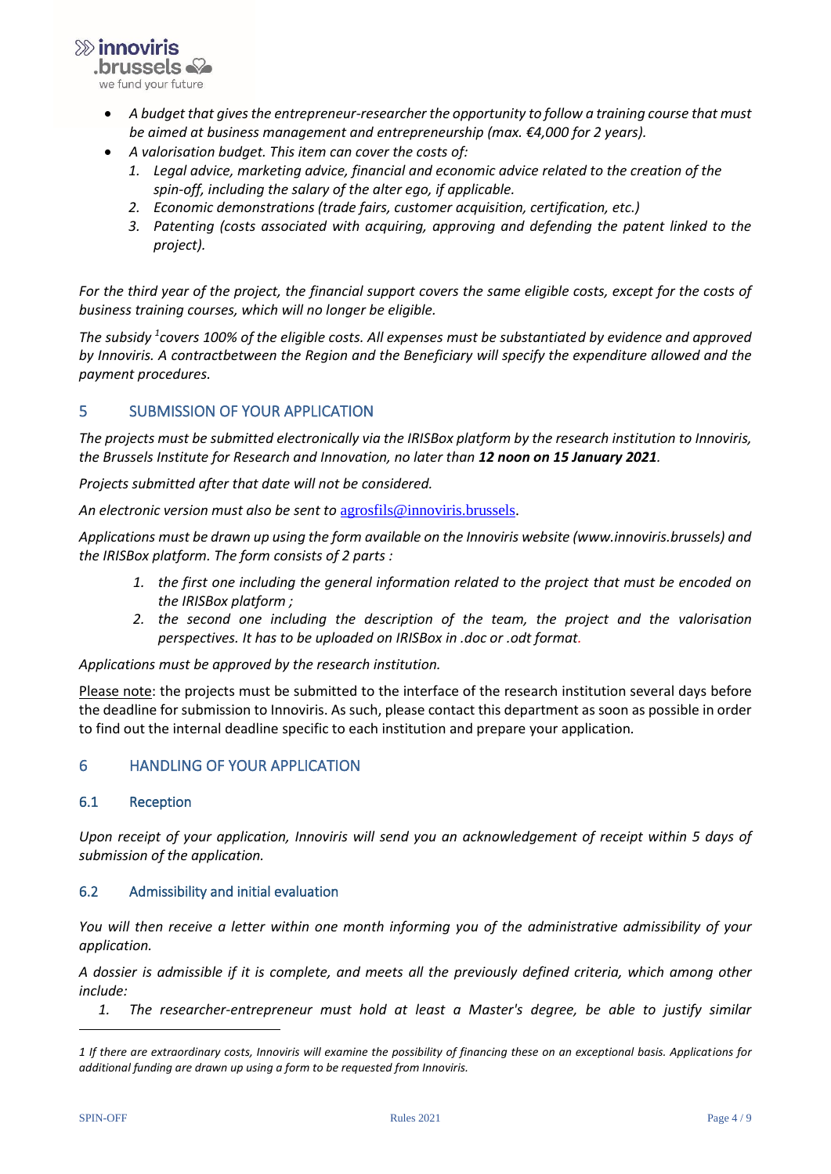$\gg$  innoviris **brussels** we fund your future

- *A budget that gives the entrepreneur-researcher the opportunity to follow a training course that must be aimed at business management and entrepreneurship (max. €4,000 for 2 years).*
- *A valorisation budget. This item can cover the costs of:* 
	- *1. Legal advice, marketing advice, financial and economic advice related to the creation of the spin-off, including the salary of the alter ego, if applicable.*
	- *2. Economic demonstrations (trade fairs, customer acquisition, certification, etc.)*
	- *3. Patenting (costs associated with acquiring, approving and defending the patent linked to the project).*

*For the third year of the project, the financial support covers the same eligible costs, except for the costs of business training courses, which will no longer be eligible.* 

*The subsidy <sup>1</sup> covers 100% of the eligible costs. All expenses must be substantiated by evidence and approved by Innoviris. A contractbetween the Region and the Beneficiary will specify the expenditure allowed and the payment procedures.*

# <span id="page-3-0"></span>5 SUBMISSION OF YOUR APPLICATION

*The projects must be submitted electronically via the IRISBox platform by the research institution to Innoviris, the Brussels Institute for Research and Innovation, no later than 12 noon on 15 January 2021.* 

*Projects submitted after that date will not be considered.* 

*An electronic version must also be sent to* [agrosfils@innoviris.brussels.](mailto:agrosfils@innoviris.brussels)

*Applications must be drawn up using the form available on the Innoviris website (www.innoviris.brussels) and the IRISBox platform. The form consists of 2 parts :* 

- *1. the first one including the general information related to the project that must be encoded on the IRISBox platform ;*
- *2. the second one including the description of the team, the project and the valorisation perspectives. It has to be uploaded on IRISBox in .doc or .odt format.*

*Applications must be approved by the research institution.*

Please note: the projects must be submitted to the interface of the research institution several days before the deadline for submission to Innoviris. As such, please contact this department as soon as possible in order to find out the internal deadline specific to each institution and prepare your application*.*

# <span id="page-3-1"></span>6 HANDLING OF YOUR APPLICATION

# <span id="page-3-2"></span>6.1 Reception

*Upon receipt of your application, Innoviris will send you an acknowledgement of receipt within 5 days of submission of the application.*

# <span id="page-3-3"></span>6.2 Admissibility and initial evaluation

*You will then receive a letter within one month informing you of the administrative admissibility of your application.*

*A dossier is admissible if it is complete, and meets all the previously defined criteria, which among other include:* 

*1. The researcher-entrepreneur must hold at least a Master's degree, be able to justify similar* 

*<sup>1</sup> If there are extraordinary costs, Innoviris will examine the possibility of financing these on an exceptional basis. Applications for additional funding are drawn up using a form to be requested from Innoviris.*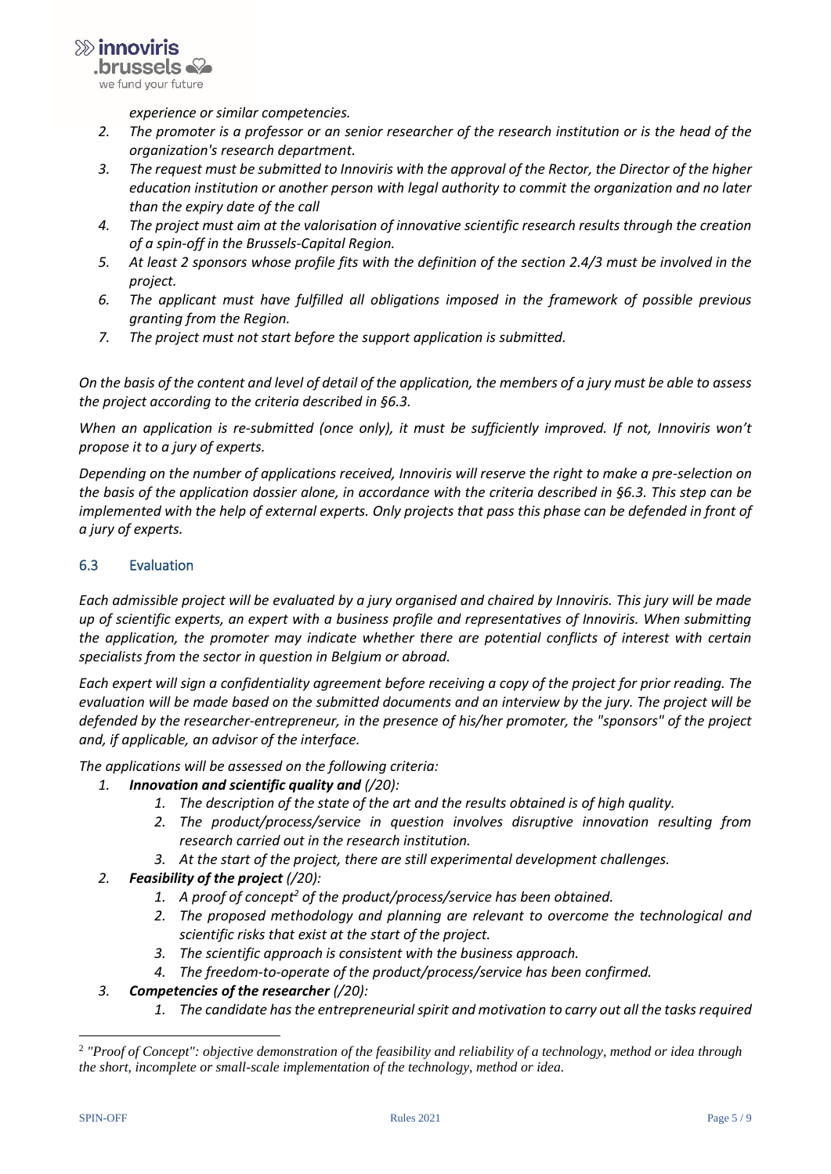

*experience or similar competencies.* 

- *2. The promoter is a professor or an senior researcher of the research institution or is the head of the organization's research department.*
- *3. The request must be submitted to Innoviris with the approval of the Rector, the Director of the higher education institution or another person with legal authority to commit the organization and no later than the expiry date of the call*
- *4. The project must aim at the valorisation of innovative scientific research results through the creation of a spin-off in the Brussels-Capital Region.*
- *5. At least 2 sponsors whose profile fits with the definition of the section 2.4/3 must be involved in the project.*
- *6. The applicant must have fulfilled all obligations imposed in the framework of possible previous granting from the Region.*
- *7. The project must not start before the support application is submitted.*

*On the basis of the content and level of detail of the application, the members of a jury must be able to assess the project according to the criteria described in §6.3.*

*When an application is re-submitted (once only), it must be sufficiently improved. If not, Innoviris won't propose it to a jury of experts.*

*Depending on the number of applications received, Innoviris will reserve the right to make a pre-selection on the basis of the application dossier alone, in accordance with the criteria described in §6.3. This step can be implemented with the help of external experts. Only projects that pass this phase can be defended in front of a jury of experts.*

## <span id="page-4-0"></span>6.3 Evaluation

*Each admissible project will be evaluated by a jury organised and chaired by Innoviris. This jury will be made up of scientific experts, an expert with a business profile and representatives of Innoviris. When submitting the application, the promoter may indicate whether there are potential conflicts of interest with certain specialists from the sector in question in Belgium or abroad.*

*Each expert will sign a confidentiality agreement before receiving a copy of the project for prior reading. The evaluation will be made based on the submitted documents and an interview by the jury. The project will be defended by the researcher-entrepreneur, in the presence of his/her promoter, the "sponsors" of the project and, if applicable, an advisor of the interface.*

*The applications will be assessed on the following criteria:* 

- *1. Innovation and scientific quality and (/20):*
	- *1. The description of the state of the art and the results obtained is of high quality.*
	- *2. The product/process/service in question involves disruptive innovation resulting from research carried out in the research institution.*
	- *3. At the start of the project, there are still experimental development challenges.*
- *2. Feasibility of the project (/20):* 
	- *1. A proof of concept<sup>2</sup> of the product/process/service has been obtained.*
	- *2. The proposed methodology and planning are relevant to overcome the technological and scientific risks that exist at the start of the project.*
	- *3. The scientific approach is consistent with the business approach.*
	- *4. The freedom-to-operate of the product/process/service has been confirmed.*
- *3. Competencies of the researcher (/20):*
	- *1. The candidate has the entrepreneurial spirit and motivation to carry out all the tasks required*

<sup>2</sup> *"Proof of Concept": objective demonstration of the feasibility and reliability of a technology, method or idea through the short, incomplete or small-scale implementation of the technology, method or idea.*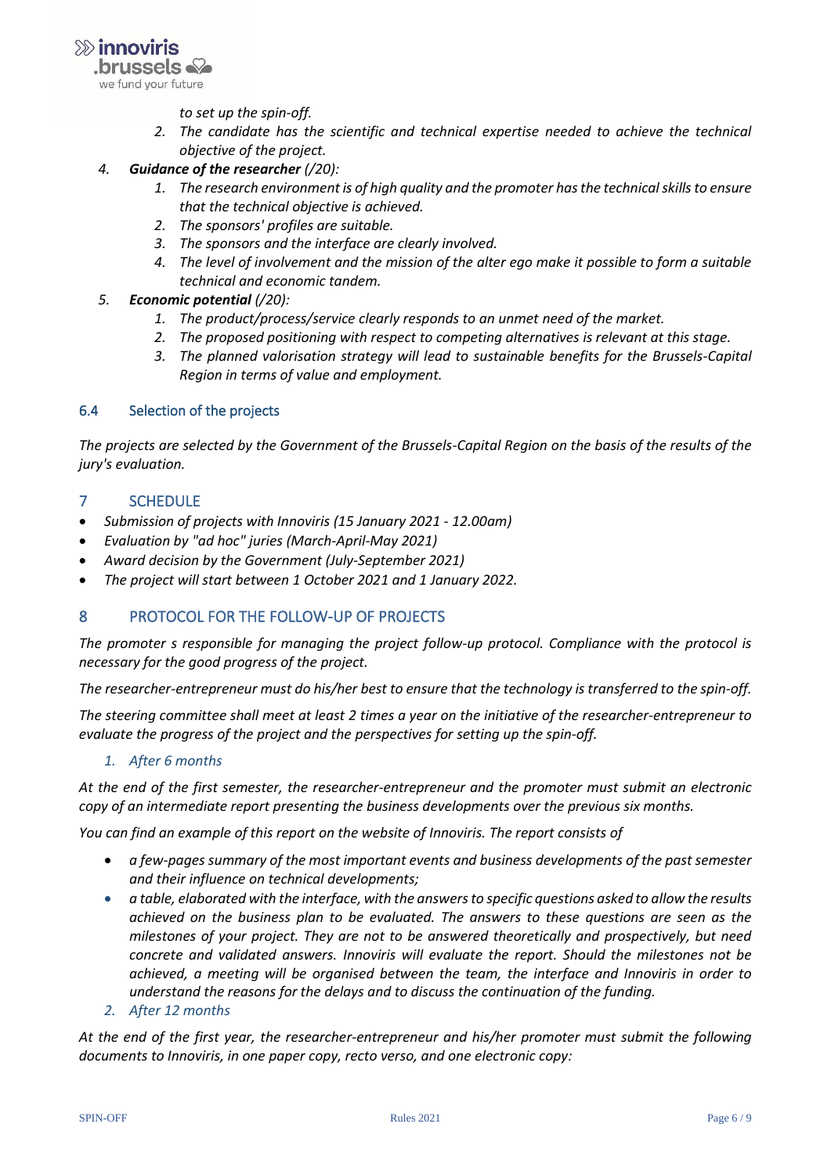

*to set up the spin-off.*

- *2. The candidate has the scientific and technical expertise needed to achieve the technical objective of the project.*
- *4. Guidance of the researcher (/20):*
	- *1. The research environment is of high quality and the promoter has the technical skills to ensure that the technical objective is achieved.*
	- *2. The sponsors' profiles are suitable.*
	- *3. The sponsors and the interface are clearly involved.*
	- *4. The level of involvement and the mission of the alter ego make it possible to form a suitable technical and economic tandem.*
- *5. Economic potential (/20):*
	- *1. The product/process/service clearly responds to an unmet need of the market.*
	- *2. The proposed positioning with respect to competing alternatives is relevant at this stage.*
	- *3. The planned valorisation strategy will lead to sustainable benefits for the Brussels-Capital Region in terms of value and employment.*

#### <span id="page-5-0"></span>6.4 Selection of the projects

*The projects are selected by the Government of the Brussels-Capital Region on the basis of the results of the jury's evaluation.*

#### <span id="page-5-1"></span>7 SCHEDULE

- *Submission of projects with Innoviris (15 January 2021 - 12.00am)*
- *Evaluation by "ad hoc" juries (March-April-May 2021)*
- *Award decision by the Government (July-September 2021)*
- <span id="page-5-2"></span>• *The project will start between 1 October 2021 and 1 January 2022.*

#### 8 PROTOCOL FOR THE FOLLOW-UP OF PROJECTS

*The promoter s responsible for managing the project follow-up protocol. Compliance with the protocol is necessary for the good progress of the project.* 

*The researcher-entrepreneur must do his/her best to ensure that the technology is transferred to the spin-off.* 

*The steering committee shall meet at least 2 times a year on the initiative of the researcher-entrepreneur to evaluate the progress of the project and the perspectives for setting up the spin-off.*

#### *1. After 6 months*

*At the end of the first semester, the researcher-entrepreneur and the promoter must submit an electronic copy of an intermediate report presenting the business developments over the previous six months.* 

*You can find an example of this report on the website of Innoviris. The report consists of*

- *a few-pages summary of the most important events and business developments of the past semester and their influence on technical developments;*
- *a table, elaborated with the interface, with the answers to specific questions asked to allow the results achieved on the business plan to be evaluated. The answers to these questions are seen as the milestones of your project. They are not to be answered theoretically and prospectively, but need concrete and validated answers. Innoviris will evaluate the report. Should the milestones not be achieved, a meeting will be organised between the team, the interface and Innoviris in order to understand the reasons for the delays and to discuss the continuation of the funding.*
- *2. After 12 months*

*At the end of the first year, the researcher-entrepreneur and his/her promoter must submit the following documents to Innoviris, in one paper copy, recto verso, and one electronic copy:*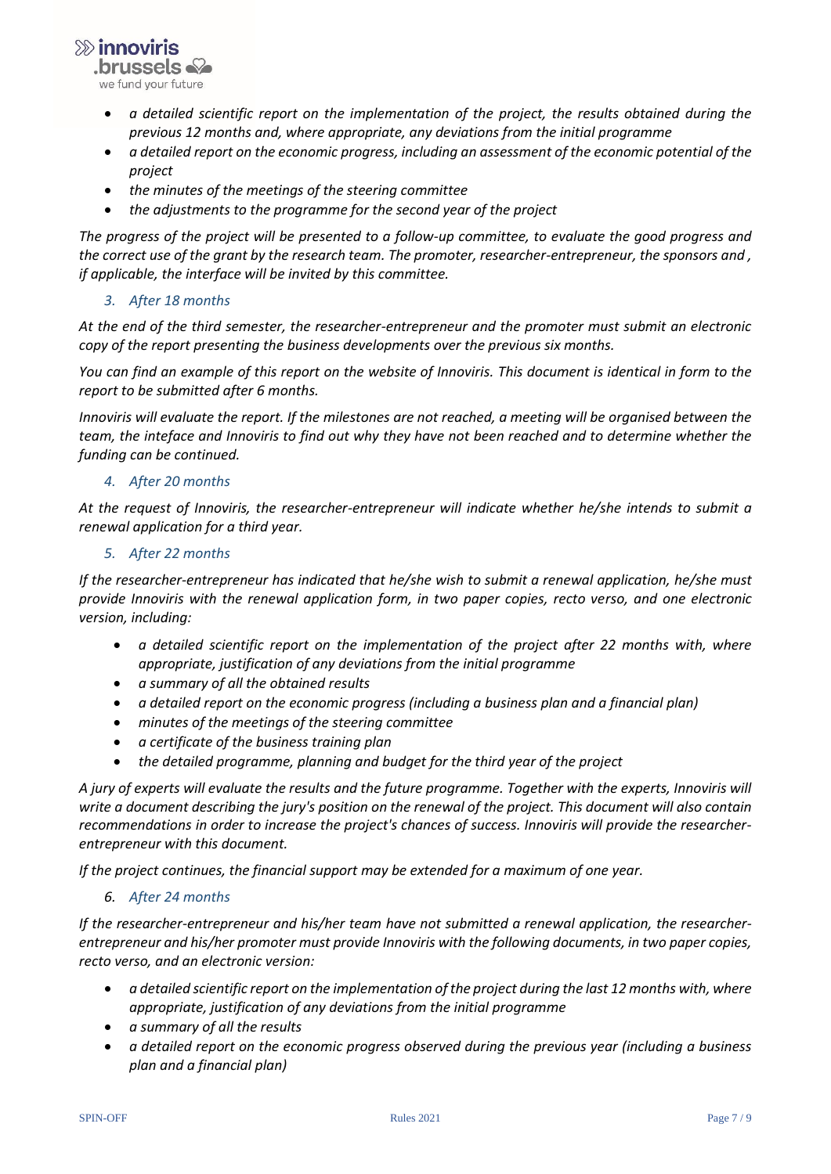$\gg$  innoviris **brussels** we fund your future

- *a detailed scientific report on the implementation of the project, the results obtained during the previous 12 months and, where appropriate, any deviations from the initial programme*
- *a detailed report on the economic progress, including an assessment of the economic potential of the project*
- *the minutes of the meetings of the steering committee*
- *the adjustments to the programme for the second year of the project*

*The progress of the project will be presented to a follow-up committee, to evaluate the good progress and the correct use of the grant by the research team. The promoter, researcher-entrepreneur, the sponsors and , if applicable, the interface will be invited by this committee.*

## *3. After 18 months*

*At the end of the third semester, the researcher-entrepreneur and the promoter must submit an electronic copy of the report presenting the business developments over the previous six months.*

*You can find an example of this report on the website of Innoviris. This document is identical in form to the report to be submitted after 6 months.*

*Innoviris will evaluate the report. If the milestones are not reached, a meeting will be organised between the team, the inteface and Innoviris to find out why they have not been reached and to determine whether the funding can be continued.*

#### *4. After 20 months*

*At the request of Innoviris, the researcher-entrepreneur will indicate whether he/she intends to submit a renewal application for a third year.*

#### *5. After 22 months*

*If the researcher-entrepreneur has indicated that he/she wish to submit a renewal application, he/she must provide Innoviris with the renewal application form, in two paper copies, recto verso, and one electronic version, including:*

- *a detailed scientific report on the implementation of the project after 22 months with, where appropriate, justification of any deviations from the initial programme*
- *a summary of all the obtained results*
- *a detailed report on the economic progress (including a business plan and a financial plan)*
- *minutes of the meetings of the steering committee*
- *a certificate of the business training plan*
- *the detailed programme, planning and budget for the third year of the project*

*A jury of experts will evaluate the results and the future programme. Together with the experts, Innoviris will write a document describing the jury's position on the renewal of the project. This document will also contain recommendations in order to increase the project's chances of success. Innoviris will provide the researcherentrepreneur with this document.* 

*If the project continues, the financial support may be extended for a maximum of one year.*

#### *6. After 24 months*

*If the researcher-entrepreneur and his/her team have not submitted a renewal application, the researcherentrepreneur and his/her promoter must provide Innoviris with the following documents, in two paper copies, recto verso, and an electronic version:* 

- *a detailed scientific report on the implementation of the project during the last 12 months with, where appropriate, justification of any deviations from the initial programme*
- *a summary of all the results*
- *a detailed report on the economic progress observed during the previous year (including a business plan and a financial plan)*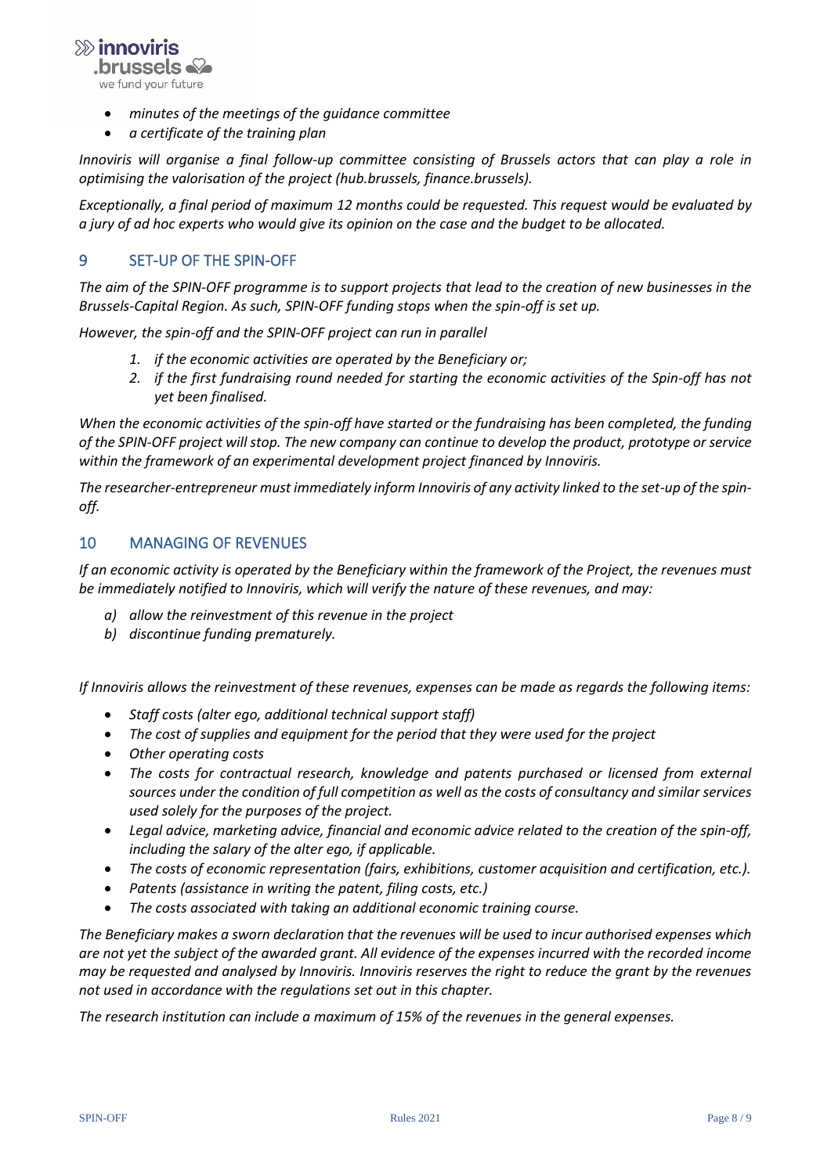$\gg$  innoviris **brussels** we fund your future

- *minutes of the meetings of the guidance committee*
- *a certificate of the training plan*

*Innoviris will organise a final follow-up committee consisting of Brussels actors that can play a role in optimising the valorisation of the project (hub.brussels, finance.brussels).*

*Exceptionally, a final period of maximum 12 months could be requested. This request would be evaluated by a jury of ad hoc experts who would give its opinion on the case and the budget to be allocated.* 

## <span id="page-7-0"></span>9 SET-UP OF THE SPIN-OFF

*The aim of the SPIN-OFF programme is to support projects that lead to the creation of new businesses in the Brussels-Capital Region. As such, SPIN-OFF funding stops when the spin-off is set up.* 

*However, the spin-off and the SPIN-OFF project can run in parallel* 

- *1. if the economic activities are operated by the Beneficiary or;*
- *2. if the first fundraising round needed for starting the economic activities of the Spin-off has not yet been finalised.*

*When the economic activities of the spin-off have started or the fundraising has been completed, the funding of the SPIN-OFF project will stop. The new company can continue to develop the product, prototype or service within the framework of an experimental development project financed by Innoviris.* 

*The researcher-entrepreneur must immediately inform Innoviris of any activity linked to the set-up of the spinoff.*

### <span id="page-7-1"></span>10 MANAGING OF REVENUES

*If an economic activity is operated by the Beneficiary within the framework of the Project, the revenues must be immediately notified to Innoviris, which will verify the nature of these revenues, and may:*

- *a) allow the reinvestment of this revenue in the project*
- *b) discontinue funding prematurely.*

*If Innoviris allows the reinvestment of these revenues, expenses can be made as regards the following items:* 

- *Staff costs (alter ego, additional technical support staff)*
- *The cost of supplies and equipment for the period that they were used for the project*
- *Other operating costs*
- *The costs for contractual research, knowledge and patents purchased or licensed from external sources under the condition of full competition as well as the costs of consultancy and similar services used solely for the purposes of the project.*
- *Legal advice, marketing advice, financial and economic advice related to the creation of the spin-off, including the salary of the alter ego, if applicable.*
- *The costs of economic representation (fairs, exhibitions, customer acquisition and certification, etc.).*
- *Patents (assistance in writing the patent, filing costs, etc.)*
- *The costs associated with taking an additional economic training course.*

*The Beneficiary makes a sworn declaration that the revenues will be used to incur authorised expenses which are not yet the subject of the awarded grant. All evidence of the expenses incurred with the recorded income may be requested and analysed by Innoviris. Innoviris reserves the right to reduce the grant by the revenues not used in accordance with the regulations set out in this chapter.* 

*The research institution can include a maximum of 15% of the revenues in the general expenses.*